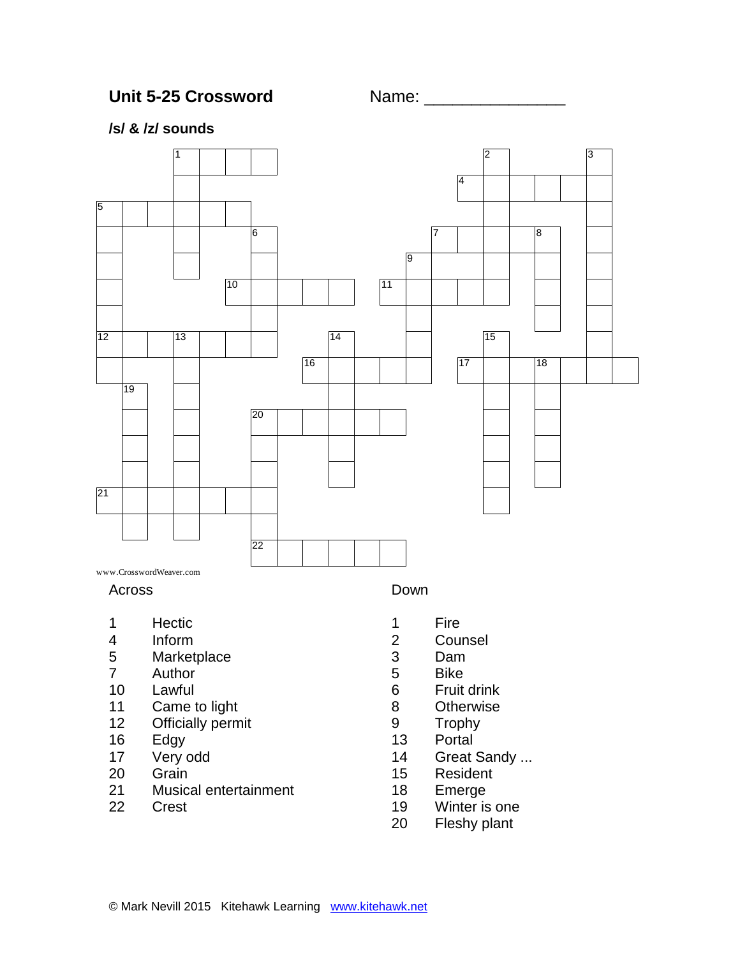## **/s/ & /z/ sounds**



Fleshy plant

Crest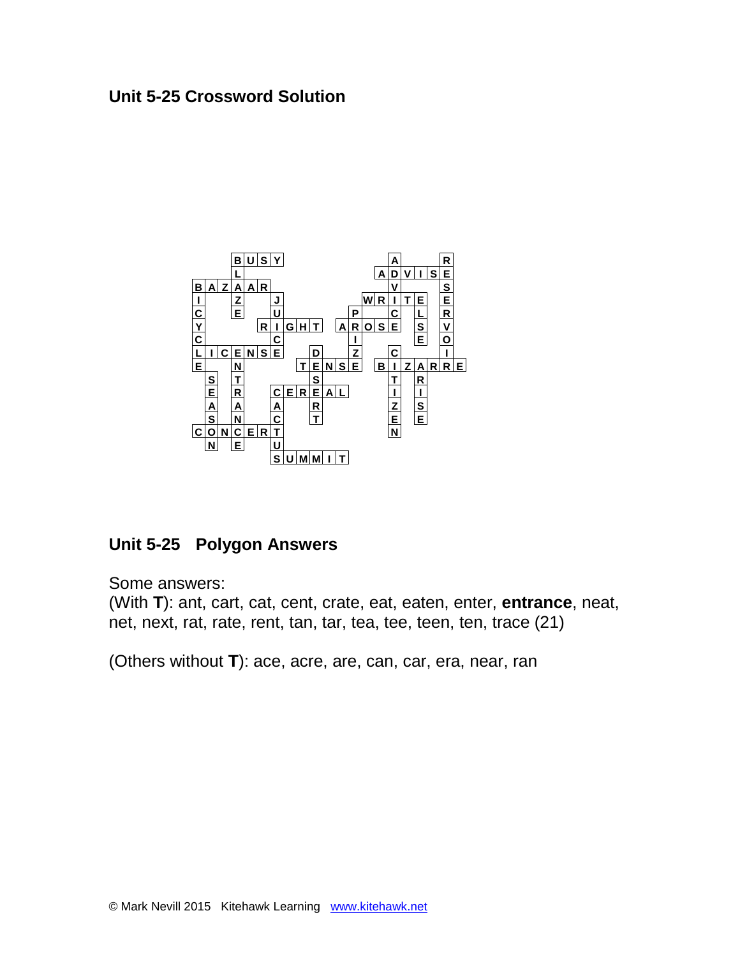## **Unit 5-25 Crossword Solution**



# **Unit 5-25 Polygon Answers**

Some answers:

(With **T**): ant, cart, cat, cent, crate, eat, eaten, enter, **entrance**, neat, net, next, rat, rate, rent, tan, tar, tea, tee, teen, ten, trace (21)

(Others without **T**): ace, acre, are, can, car, era, near, ran